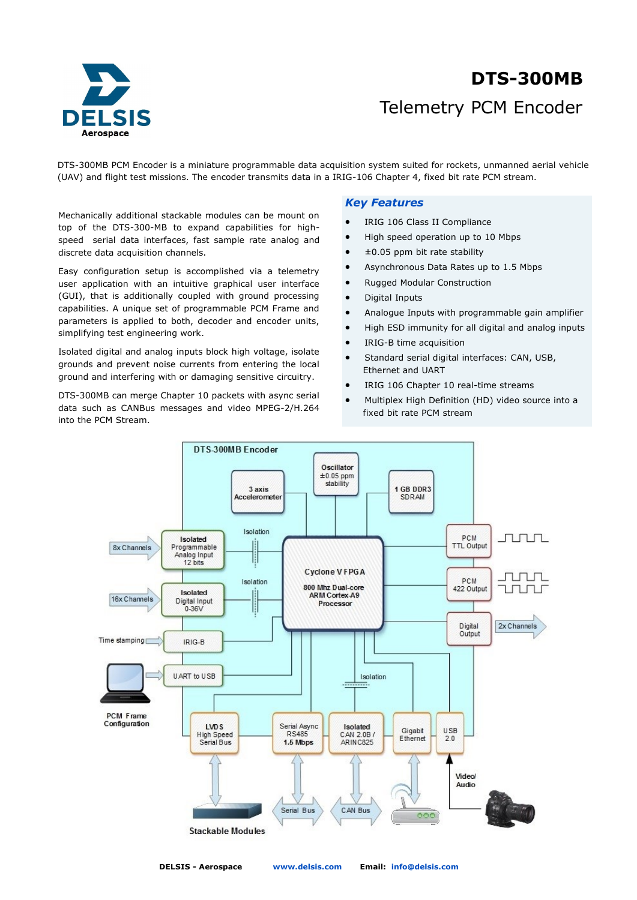

# Telemetry PCM Encoder **DTS-300MB**

DTS-300MB PCM Encoder is a miniature programmable data acquisition system suited for rockets, unmanned aerial vehicle (UAV) and flight test missions. The encoder transmits data in a IRIG-106 Chapter 4, fixed bit rate PCM stream.

Mechanically additional stackable modules can be mount on top of the DTS-300-MB to expand capabilities for highspeed serial data interfaces, fast sample rate analog and discrete data acquisition channels.

Easy configuration setup is accomplished via a telemetry user application with an intuitive graphical user interface (GUI), that is additionally coupled with ground processing capabilities. A unique set of programmable PCM Frame and parameters is applied to both, decoder and encoder units, simplifying test engineering work.

Isolated digital and analog inputs block high voltage, isolate grounds and prevent noise currents from entering the local ground and interfering with or damaging sensitive circuitry.

DTS-300MB can merge Chapter 10 packets with async serial data such as CANBus messages and video MPEG-2/H.264 into the PCM Stream.

## *Key Features*

- IRIG 106 Class II Compliance
- High speed operation up to 10 Mbps
- ±0.05 ppm bit rate stability
- Asynchronous Data Rates up to 1.5 Mbps
- Rugged Modular Construction
- Digital Inputs
- Analogue Inputs with programmable gain amplifier
- High ESD immunity for all digital and analog inputs
- IRIG-B time acquisition
- Standard serial digital interfaces: CAN, USB, Ethernet and UART
- IRIG 106 Chapter 10 real-time streams
- Multiplex High Definition (HD) video source into a fixed bit rate PCM stream